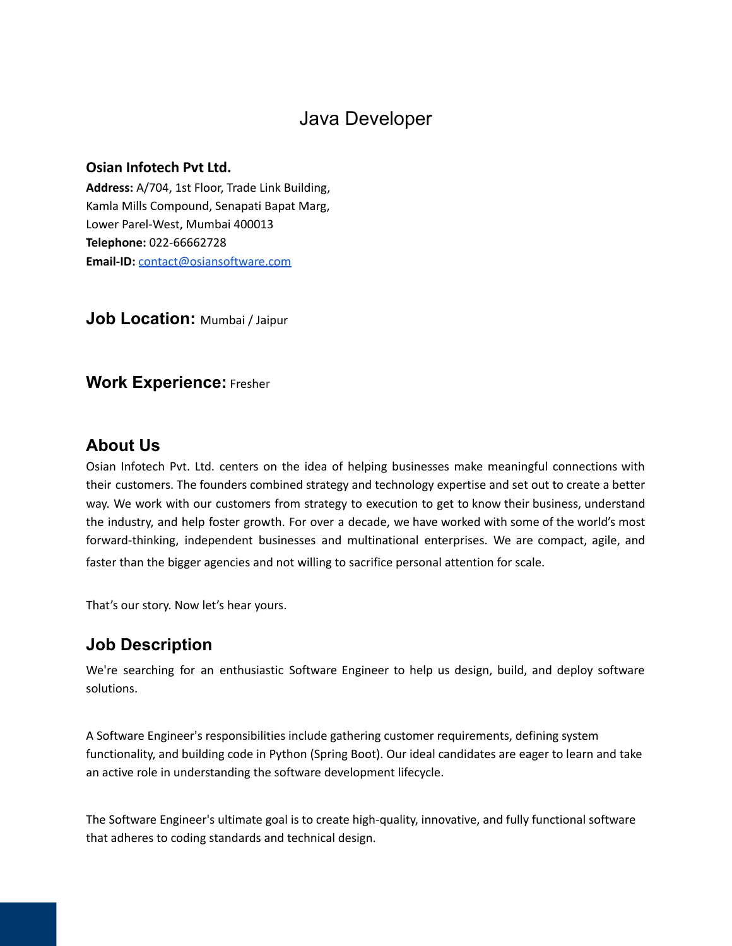# Java Developer

#### **Osian Infotech Pvt Ltd.**

**Address:** A/704, 1st Floor, Trade Link Building, Kamla Mills Compound, Senapati Bapat Marg, Lower Parel-West, Mumbai 400013 **Telephone:** 022-66662728 **Email-ID:** [contact@osiansoftware.com](mailto:contact@osiansoftware.com)

**Job Location:** Mumbai / Jaipur

### **Work Experience:** Fresher

### **About Us**

Osian Infotech Pvt. Ltd. centers on the idea of helping businesses make meaningful connections with their customers. The founders combined strategy and technology expertise and set out to create a better way. We work with our customers from strategy to execution to get to know their business, understand the industry, and help foster growth. For over a decade, we have worked with some of the world's most forward-thinking, independent businesses and multinational enterprises. We are compact, agile, and faster than the bigger agencies and not willing to sacrifice personal attention for scale.

That's our story. Now let's hear yours.

### **Job Description**

We're searching for an enthusiastic Software Engineer to help us design, build, and deploy software solutions.

A Software Engineer's responsibilities include gathering customer requirements, defining system functionality, and building code in Python (Spring Boot). Our ideal candidates are eager to learn and take an active role in understanding the software development lifecycle.

The Software Engineer's ultimate goal is to create high-quality, innovative, and fully functional software that adheres to coding standards and technical design.